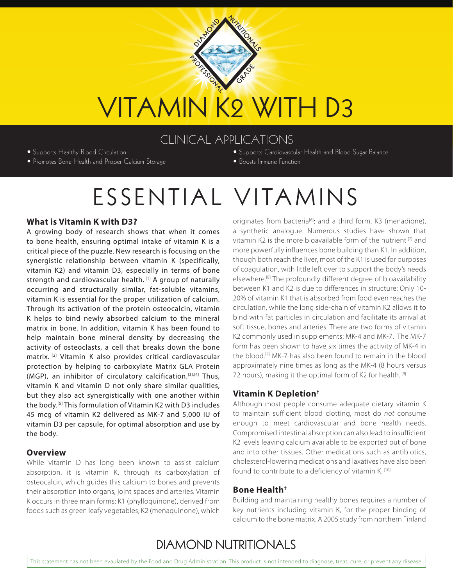# PORTS SINONAL VITAMIN K2 WITH D3

ON AMERICANS

GRANDE

### CLINICAL APPLICATIONS

- Supports Healthy Blood Circulation
- Promotes Bone Health and Proper Calcium Storage
- Supports Cardiovascular Health and Blood Sugar Balance
- Boosts Immune Function

# ESSENTIAL VITAMINS

#### **What is Vitamin K with D3?**

A growing body of research shows that when it comes to bone health, ensuring optimal intake of vitamin K is a critical piece of the puzzle. New research is focusing on the synergistic relationship between vitamin K (specifically, vitamin K2) and vitamin D3, especially in terms of bone strength and cardiovascular health. [1] A group of naturally occurring and structurally similar, fat-soluble vitamins, vitamin K is essential for the proper utilization of calcium. Through its activation of the protein osteocalcin, vitamin K helps to bind newly absorbed calcium to the mineral matrix in bone. In addition, vitamin K has been found to help maintain bone mineral density by decreasing the activity of osteoclasts, a cell that breaks down the bone matrix. [2] Vitamin K also provides critical cardiovascular protection by helping to carboxylate Matrix GLA Protein (MGP), an inhibitor of circulatory calcification.[3],[4] Thus, vitamin K and vitamin D not only share similar qualities, but they also act synergistically with one another within the body.[5] This formulation of Vitamin K2 with D3 includes 45 mcg of vitamin K2 delivered as MK-7 and 5,000 IU of vitamin D3 per capsule, for optimal absorption and use by the body.

#### **Overview**

While vitamin D has long been known to assist calcium absorption, it is vitamin K, through its carboxylation of osteocalcin, which guides this calcium to bones and prevents their absorption into organs, joint spaces and arteries. Vitamin K occurs in three main forms: K1 (phylloquinone), derived from foods such as green leafy vegetables; K2 (menaquinone), which originates from bacteria<sup>[6]</sup>; and a third form, K3 (menadione), a synthetic analogue. Numerous studies have shown that vitamin K2 is the more bioavailable form of the nutrient<sup>[7]</sup> and more powerfully influences bone building than K1. In addition, though both reach the liver, most of the K1 is used for purposes of coagulation, with little left over to support the body's needs elsewhere.[8] The profoundly different degree of bioavailability between K1 and K2 is due to differences in structure: Only 10- 20% of vitamin K1 that is absorbed from food even reaches the circulation, while the long side-chain of vitamin K2 allows it to bind with fat particles in circulation and facilitate its arrival at soft tissue, bones and arteries. There are two forms of vitamin K2 commonly used in supplements: MK-4 and MK-7. The MK-7 form has been shown to have six times the activity of MK-4 in the blood.[7] MK-7 has also been found to remain in the blood approximately nine times as long as the MK-4 (8 hours versus 72 hours), making it the optimal form of K2 for health.<sup>[9]</sup>

#### **Vitamin K Depletion†**

Although most people consume adequate dietary vitamin K to maintain sufficient blood clotting, most do *not* consume enough to meet cardiovascular and bone health needs. Compromised intestinal absorption can also lead to insufficient K2 levels leaving calcium available to be exported out of bone and into other tissues. Other medications such as antibiotics, cholesterol-lowering medications and laxatives have also been found to contribute to a deficiency of vitamin K. [10]

#### **Bone Health†**

Building and maintaining healthy bones requires a number of key nutrients including vitamin K, for the proper binding of calcium to the bone matrix. A 2005 study from northern Finland

## **DIAMOND NUTRITIONALS**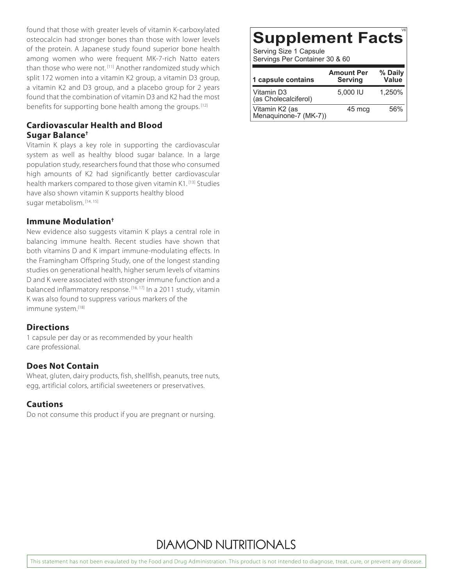found that those with greater levels of vitamin K-carboxylated osteocalcin had stronger bones than those with lower levels of the protein. A Japanese study found superior bone health among women who were frequent MK-7-rich Natto eaters than those who were not. [11] Another randomized study which split 172 women into a vitamin K2 group, a vitamin D3 group, a vitamin K2 and D3 group, and a placebo group for 2 years found that the combination of vitamin D3 and K2 had the most benefits for supporting bone health among the groups. [12]

#### **Cardiovascular Health and Blood Sugar Balance†**

Vitamin K plays a key role in supporting the cardiovascular system as well as healthy blood sugar balance. In a large population study, researchers found that those who consumed high amounts of K2 had significantly better cardiovascular health markers compared to those given vitamin K1. [13] Studies have also shown vitamin K supports healthy blood sugar metabolism. [14, 15]

#### **Immune Modulation†**

New evidence also suggests vitamin K plays a central role in balancing immune health. Recent studies have shown that both vitamins D and K impart immune-modulating effects. In the Framingham Offspring Study, one of the longest standing studies on generational health, higher serum levels of vitamins D and K were associated with stronger immune function and a balanced inflammatory response. [16, 17] In a 2011 study, vitamin K was also found to suppress various markers of the immune system.[18]

#### **Directions**

1 capsule per day or as recommended by your health care professional.

#### **Does Not Contain**

Wheat, gluten, dairy products, fish, shellfish, peanuts, tree nuts, egg, artificial colors, artificial sweeteners or preservatives.

#### **Cautions**

Do not consume this product if you are pregnant or nursing.

# **Supplement Facts**

Serving Size 1 Capsule Servings Per Container 30 & 60

| 1 capsule contains                      | <b>Amount Per</b><br><b>Serving</b> | % Daily<br>Value |
|-----------------------------------------|-------------------------------------|------------------|
| Vitamin D3<br>(as Cholecalciferol)      | 5,000 IU                            | 1.250%           |
| Vitamin K2 (as<br>Menaquinone-7 (MK-7)) | 45 mcg                              | 56%              |

### **DIAMOND NUTRITIONALS**

This statement has not been evaulated by the Food and Drug Administration. This product is not intended to diagnose, treat, cure, or prevent any disease.